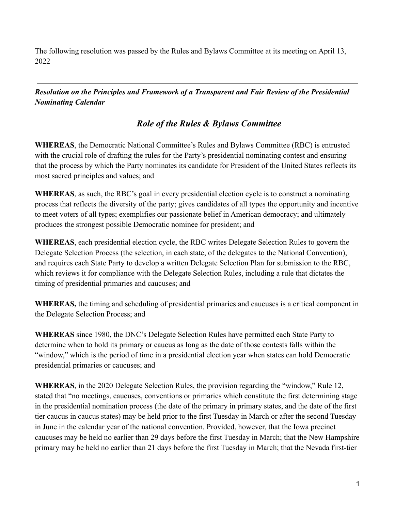The following resolution was passed by the Rules and Bylaws Committee at its meeting on April 13, 2022

*Resolution on the Principles and Framework of a Transparent and Fair Review of the Presidential Nominating Calendar*

## *Role of the Rules & Bylaws Committee*

**WHEREAS**, the Democratic National Committee's Rules and Bylaws Committee (RBC) is entrusted with the crucial role of drafting the rules for the Party's presidential nominating contest and ensuring that the process by which the Party nominates its candidate for President of the United States reflects its most sacred principles and values; and

**WHEREAS**, as such, the RBC's goal in every presidential election cycle is to construct a nominating process that reflects the diversity of the party; gives candidates of all types the opportunity and incentive to meet voters of all types; exemplifies our passionate belief in American democracy; and ultimately produces the strongest possible Democratic nominee for president; and

**WHEREAS**, each presidential election cycle, the RBC writes Delegate Selection Rules to govern the Delegate Selection Process (the selection, in each state, of the delegates to the National Convention), and requires each State Party to develop a written Delegate Selection Plan for submission to the RBC, which reviews it for compliance with the Delegate Selection Rules, including a rule that dictates the timing of presidential primaries and caucuses; and

**WHEREAS,** the timing and scheduling of presidential primaries and caucuses is a critical component in the Delegate Selection Process; and

**WHEREAS** since 1980, the DNC's Delegate Selection Rules have permitted each State Party to determine when to hold its primary or caucus as long as the date of those contests falls within the "window," which is the period of time in a presidential election year when states can hold Democratic presidential primaries or caucuses; and

**WHEREAS**, in the 2020 Delegate Selection Rules, the provision regarding the "window," Rule 12, stated that "no meetings, caucuses, conventions or primaries which constitute the first determining stage in the presidential nomination process (the date of the primary in primary states, and the date of the first tier caucus in caucus states) may be held prior to the first Tuesday in March or after the second Tuesday in June in the calendar year of the national convention. Provided, however, that the Iowa precinct caucuses may be held no earlier than 29 days before the first Tuesday in March; that the New Hampshire primary may be held no earlier than 21 days before the first Tuesday in March; that the Nevada first-tier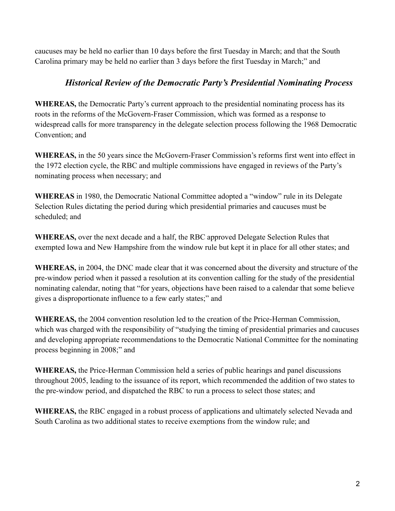caucuses may be held no earlier than 10 days before the first Tuesday in March; and that the South Carolina primary may be held no earlier than 3 days before the first Tuesday in March;" and

## *Historical Review of the Democratic Party's Presidential Nominating Process*

**WHEREAS,** the Democratic Party's current approach to the presidential nominating process has its roots in the reforms of the McGovern-Fraser Commission, which was formed as a response to widespread calls for more transparency in the delegate selection process following the 1968 Democratic Convention; and

**WHEREAS,** in the 50 years since the McGovern-Fraser Commission's reforms first went into effect in the 1972 election cycle, the RBC and multiple commissions have engaged in reviews of the Party's nominating process when necessary; and

**WHEREAS** in 1980, the Democratic National Committee adopted a "window" rule in its Delegate Selection Rules dictating the period during which presidential primaries and caucuses must be scheduled; and

**WHEREAS,** over the next decade and a half, the RBC approved Delegate Selection Rules that exempted Iowa and New Hampshire from the window rule but kept it in place for all other states; and

**WHEREAS,** in 2004, the DNC made clear that it was concerned about the diversity and structure of the pre-window period when it passed a resolution at its convention calling for the study of the presidential nominating calendar, noting that "for years, objections have been raised to a calendar that some believe gives a disproportionate influence to a few early states;" and

**WHEREAS,** the 2004 convention resolution led to the creation of the Price-Herman Commission, which was charged with the responsibility of "studying the timing of presidential primaries and caucuses and developing appropriate recommendations to the Democratic National Committee for the nominating process beginning in 2008;" and

**WHEREAS,** the Price-Herman Commission held a series of public hearings and panel discussions throughout 2005, leading to the issuance of its report, which recommended the addition of two states to the pre-window period, and dispatched the RBC to run a process to select those states; and

**WHEREAS,** the RBC engaged in a robust process of applications and ultimately selected Nevada and South Carolina as two additional states to receive exemptions from the window rule; and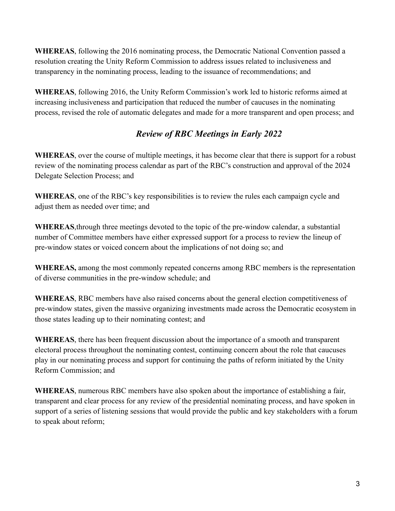**WHEREAS**, following the 2016 nominating process, the Democratic National Convention passed a resolution creating the Unity Reform Commission to address issues related to inclusiveness and transparency in the nominating process, leading to the issuance of recommendations; and

**WHEREAS**, following 2016, the Unity Reform Commission's work led to historic reforms aimed at increasing inclusiveness and participation that reduced the number of caucuses in the nominating process, revised the role of automatic delegates and made for a more transparent and open process; and

## *Review of RBC Meetings in Early 2022*

**WHEREAS**, over the course of multiple meetings, it has become clear that there is support for a robust review of the nominating process calendar as part of the RBC's construction and approval of the 2024 Delegate Selection Process; and

**WHEREAS**, one of the RBC's key responsibilities is to review the rules each campaign cycle and adjust them as needed over time; and

**WHEREAS**,through three meetings devoted to the topic of the pre-window calendar, a substantial number of Committee members have either expressed support for a process to review the lineup of pre-window states or voiced concern about the implications of not doing so; and

**WHEREAS,** among the most commonly repeated concerns among RBC members is the representation of diverse communities in the pre-window schedule; and

**WHEREAS**, RBC members have also raised concerns about the general election competitiveness of pre-window states, given the massive organizing investments made across the Democratic ecosystem in those states leading up to their nominating contest; and

**WHEREAS**, there has been frequent discussion about the importance of a smooth and transparent electoral process throughout the nominating contest, continuing concern about the role that caucuses play in our nominating process and support for continuing the paths of reform initiated by the Unity Reform Commission; and

**WHEREAS**, numerous RBC members have also spoken about the importance of establishing a fair, transparent and clear process for any review of the presidential nominating process, and have spoken in support of a series of listening sessions that would provide the public and key stakeholders with a forum to speak about reform;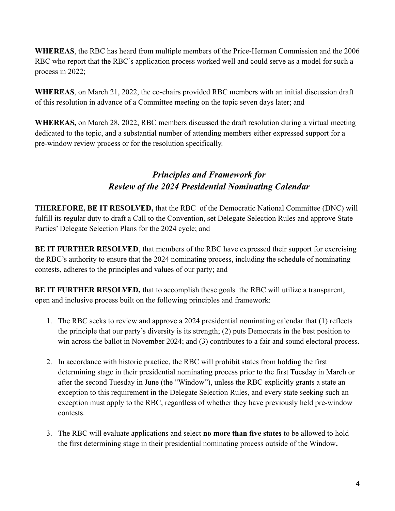**WHEREAS**, the RBC has heard from multiple members of the Price-Herman Commission and the 2006 RBC who report that the RBC's application process worked well and could serve as a model for such a process in 2022;

**WHEREAS**, on March 21, 2022, the co-chairs provided RBC members with an initial discussion draft of this resolution in advance of a Committee meeting on the topic seven days later; and

**WHEREAS,** on March 28, 2022, RBC members discussed the draft resolution during a virtual meeting dedicated to the topic, and a substantial number of attending members either expressed support for a pre-window review process or for the resolution specifically.

## *Principles and Framework for Review of the 2024 Presidential Nominating Calendar*

**THEREFORE, BE IT RESOLVED,** that the RBC of the Democratic National Committee (DNC) will fulfill its regular duty to draft a Call to the Convention, set Delegate Selection Rules and approve State Parties' Delegate Selection Plans for the 2024 cycle; and

**BE IT FURTHER RESOLVED, that members of the RBC have expressed their support for exercising** the RBC's authority to ensure that the 2024 nominating process, including the schedule of nominating contests, adheres to the principles and values of our party; and

**BE IT FURTHER RESOLVED,** that to accomplish these goals the RBC will utilize a transparent, open and inclusive process built on the following principles and framework:

- 1. The RBC seeks to review and approve a 2024 presidential nominating calendar that (1) reflects the principle that our party's diversity is its strength; (2) puts Democrats in the best position to win across the ballot in November 2024; and (3) contributes to a fair and sound electoral process.
- 2. In accordance with historic practice, the RBC will prohibit states from holding the first determining stage in their presidential nominating process prior to the first Tuesday in March or after the second Tuesday in June (the "Window"), unless the RBC explicitly grants a state an exception to this requirement in the Delegate Selection Rules, and every state seeking such an exception must apply to the RBC, regardless of whether they have previously held pre-window contests.
- 3. The RBC will evaluate applications and select **no more than five states** to be allowed to hold the first determining stage in their presidential nominating process outside of the Window**.**